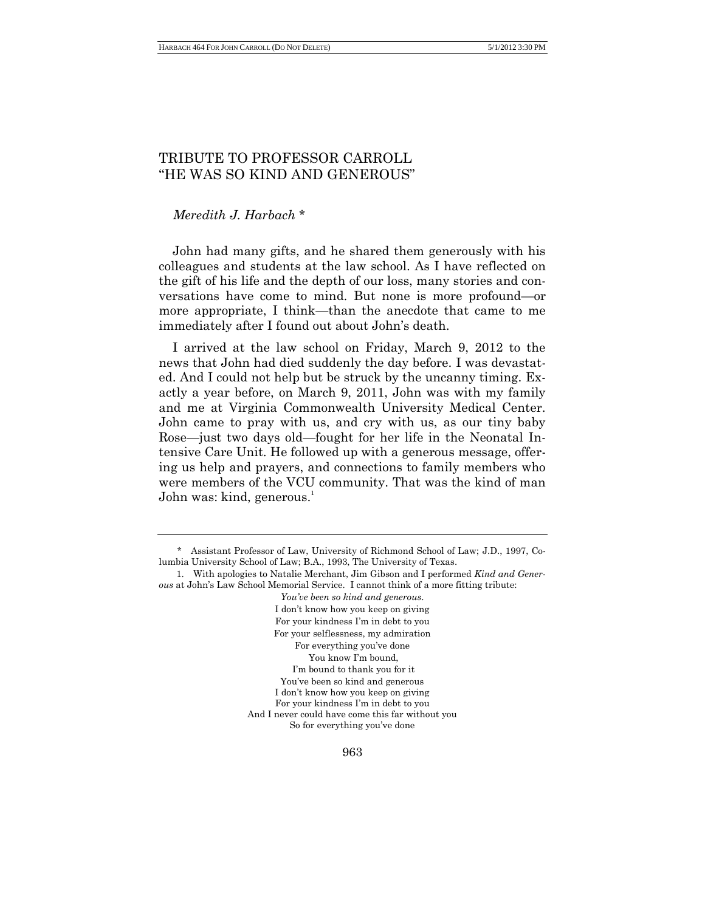## TRIBUTE TO PROFESSOR CARROLL "HE WAS SO KIND AND GENEROUS"

## *Meredith J. Harbach* \*

John had many gifts, and he shared them generously with his colleagues and students at the law school. As I have reflected on the gift of his life and the depth of our loss, many stories and conversations have come to mind. But none is more profound—or more appropriate, I think—than the anecdote that came to me immediately after I found out about John's death.

I arrived at the law school on Friday, March 9, 2012 to the news that John had died suddenly the day before. I was devastated. And I could not help but be struck by the uncanny timing. Exactly a year before, on March 9, 2011, John was with my family and me at Virginia Commonwealth University Medical Center. John came to pray with us, and cry with us, as our tiny baby Rose—just two days old—fought for her life in the Neonatal Intensive Care Unit. He followed up with a generous message, offering us help and prayers, and connections to family members who were members of the VCU community. That was the kind of man John was: kind, generous. $<sup>1</sup>$ </sup>

*You've been so kind and generous*. I don't know how you keep on giving For your kindness I'm in debt to you For your selflessness, my admiration For everything you've done You know I'm bound, I'm bound to thank you for it You've been so kind and generous I don't know how you keep on giving For your kindness I'm in debt to you And I never could have come this far without you So for everything you've done

<sup>\*</sup> Assistant Professor of Law, University of Richmond School of Law; J.D., 1997, Columbia University School of Law; B.A., 1993, The University of Texas.

<sup>1.</sup> With apologies to Natalie Merchant, Jim Gibson and I performed *Kind and Generous* at John's Law School Memorial Service. I cannot think of a more fitting tribute: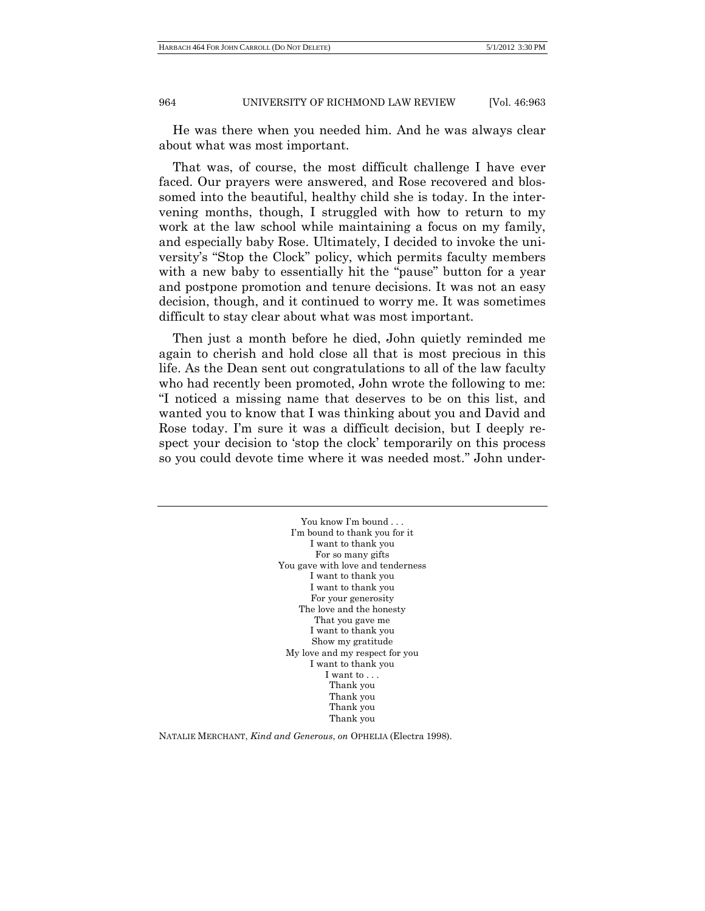## 964 UNIVERSITY OF RICHMOND LAW REVIEW [Vol. 46:963

He was there when you needed him. And he was always clear about what was most important.

That was, of course, the most difficult challenge I have ever faced. Our prayers were answered, and Rose recovered and blossomed into the beautiful, healthy child she is today. In the intervening months, though, I struggled with how to return to my work at the law school while maintaining a focus on my family, and especially baby Rose. Ultimately, I decided to invoke the university's "Stop the Clock" policy, which permits faculty members with a new baby to essentially hit the "pause" button for a year and postpone promotion and tenure decisions. It was not an easy decision, though, and it continued to worry me. It was sometimes difficult to stay clear about what was most important.

Then just a month before he died, John quietly reminded me again to cherish and hold close all that is most precious in this life. As the Dean sent out congratulations to all of the law faculty who had recently been promoted, John wrote the following to me: "I noticed a missing name that deserves to be on this list, and wanted you to know that I was thinking about you and David and Rose today. I'm sure it was a difficult decision, but I deeply respect your decision to 'stop the clock' temporarily on this process so you could devote time where it was needed most." John under-

> You know I'm bound . . . I'm bound to thank you for it I want to thank you For so many gifts You gave with love and tenderness I want to thank you I want to thank you For your generosity The love and the honesty That you gave me I want to thank you Show my gratitude My love and my respect for you I want to thank you I want to . . . Thank you Thank you Thank you Thank you

NATALIE MERCHANT, *Kind and Generous*, *on* OPHELIA (Electra 1998).